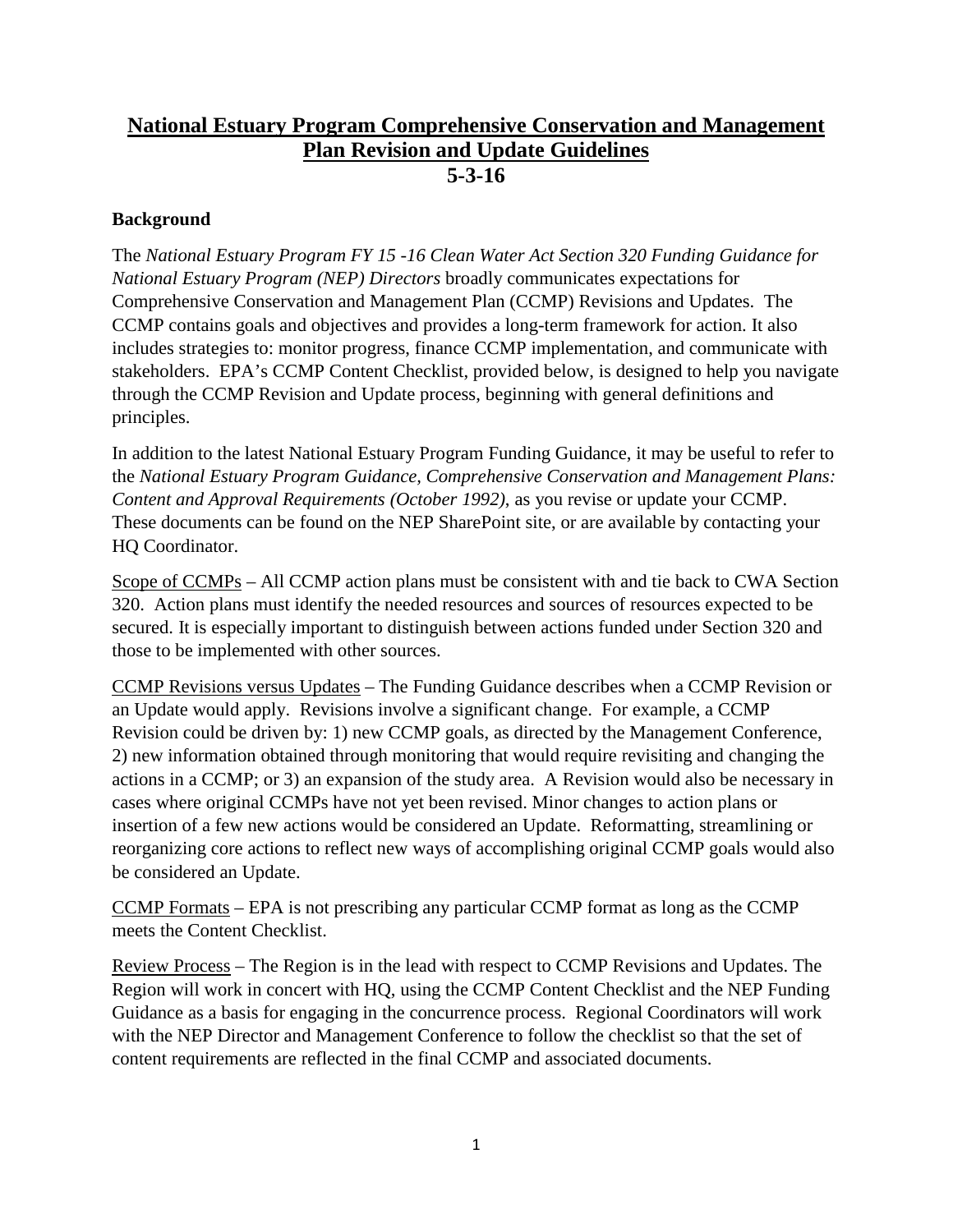# **National Estuary Program Comprehensive Conservation and Management Plan Revision and Update Guidelines 5-3-16**

#### **Background**

The *National Estuary Program FY 15 -16 Clean Water Act Section 320 Funding Guidance for National Estuary Program (NEP) Directors* broadly communicates expectations for Comprehensive Conservation and Management Plan (CCMP) Revisions and Updates. The CCMP contains goals and objectives and provides a long-term framework for action. It also includes strategies to: monitor progress, finance CCMP implementation, and communicate with stakeholders. EPA's CCMP Content Checklist, provided below, is designed to help you navigate through the CCMP Revision and Update process, beginning with general definitions and principles.

In addition to the latest National Estuary Program Funding Guidance, it may be useful to refer to the *National Estuary Program Guidance, Comprehensive Conservation and Management Plans: Content and Approval Requirements (October 1992)*, as you revise or update your CCMP. These documents can be found on the NEP SharePoint site, or are available by contacting your HQ Coordinator.

Scope of CCMPs – All CCMP action plans must be consistent with and tie back to CWA Section 320. Action plans must identify the needed resources and sources of resources expected to be secured. It is especially important to distinguish between actions funded under Section 320 and those to be implemented with other sources.

CCMP Revisions versus Updates – The Funding Guidance describes when a CCMP Revision or an Update would apply. Revisions involve a significant change. For example, a CCMP Revision could be driven by: 1) new CCMP goals, as directed by the Management Conference, 2) new information obtained through monitoring that would require revisiting and changing the actions in a CCMP; or 3) an expansion of the study area. A Revision would also be necessary in cases where original CCMPs have not yet been revised. Minor changes to action plans or insertion of a few new actions would be considered an Update. Reformatting, streamlining or reorganizing core actions to reflect new ways of accomplishing original CCMP goals would also be considered an Update.

CCMP Formats – EPA is not prescribing any particular CCMP format as long as the CCMP meets the Content Checklist.

Review Process – The Region is in the lead with respect to CCMP Revisions and Updates. The Region will work in concert with HQ, using the CCMP Content Checklist and the NEP Funding Guidance as a basis for engaging in the concurrence process. Regional Coordinators will work with the NEP Director and Management Conference to follow the checklist so that the set of content requirements are reflected in the final CCMP and associated documents.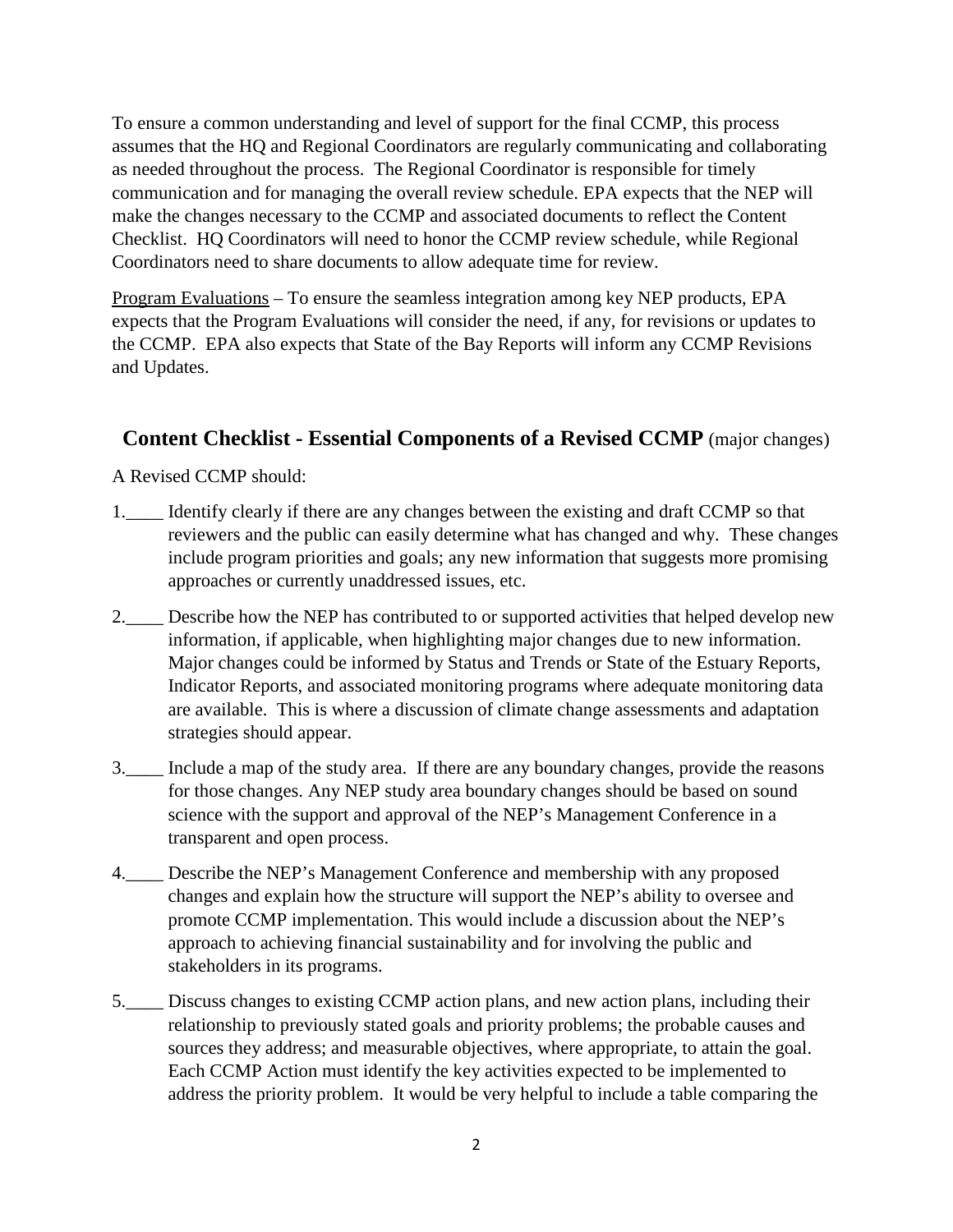To ensure a common understanding and level of support for the final CCMP, this process assumes that the HQ and Regional Coordinators are regularly communicating and collaborating as needed throughout the process. The Regional Coordinator is responsible for timely communication and for managing the overall review schedule. EPA expects that the NEP will make the changes necessary to the CCMP and associated documents to reflect the Content Checklist. HQ Coordinators will need to honor the CCMP review schedule, while Regional Coordinators need to share documents to allow adequate time for review.

Program Evaluations – To ensure the seamless integration among key NEP products, EPA expects that the Program Evaluations will consider the need, if any, for revisions or updates to the CCMP. EPA also expects that State of the Bay Reports will inform any CCMP Revisions and Updates.

### **Content Checklist - Essential Components of a Revised CCMP** (major changes)

A Revised CCMP should:

- 1.\_\_\_\_ Identify clearly if there are any changes between the existing and draft CCMP so that reviewers and the public can easily determine what has changed and why. These changes include program priorities and goals; any new information that suggests more promising approaches or currently unaddressed issues, etc.
- 2. Describe how the NEP has contributed to or supported activities that helped develop new information, if applicable, when highlighting major changes due to new information. Major changes could be informed by Status and Trends or State of the Estuary Reports, Indicator Reports, and associated monitoring programs where adequate monitoring data are available. This is where a discussion of climate change assessments and adaptation strategies should appear.
- 3.\_\_\_\_ Include a map of the study area. If there are any boundary changes, provide the reasons for those changes. Any NEP study area boundary changes should be based on sound science with the support and approval of the NEP's Management Conference in a transparent and open process.
- 4. Describe the NEP's Management Conference and membership with any proposed changes and explain how the structure will support the NEP's ability to oversee and promote CCMP implementation. This would include a discussion about the NEP's approach to achieving financial sustainability and for involving the public and stakeholders in its programs.
- 5.\_\_\_\_ Discuss changes to existing CCMP action plans, and new action plans, including their relationship to previously stated goals and priority problems; the probable causes and sources they address; and measurable objectives, where appropriate, to attain the goal. Each CCMP Action must identify the key activities expected to be implemented to address the priority problem. It would be very helpful to include a table comparing the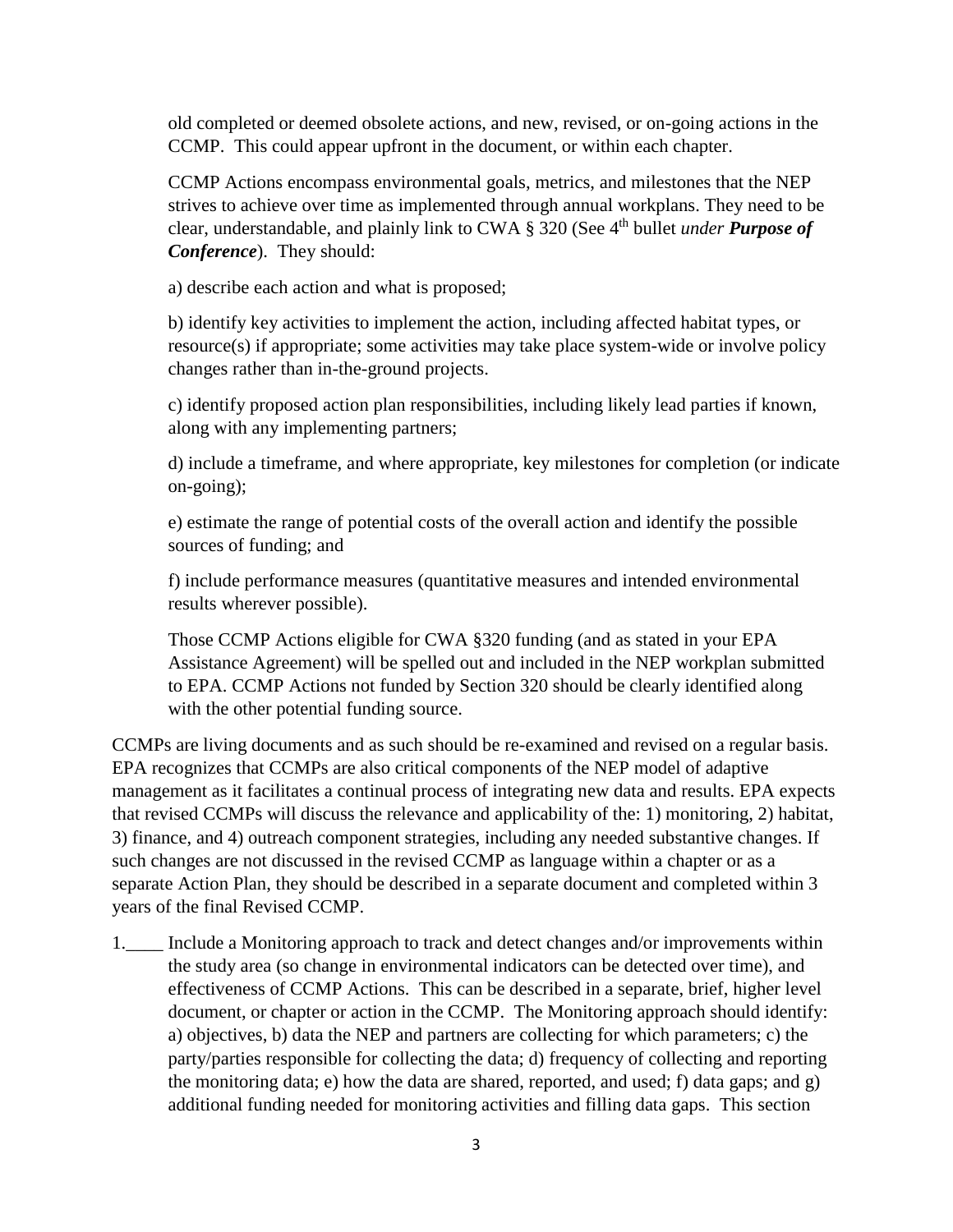old completed or deemed obsolete actions, and new, revised, or on-going actions in the CCMP. This could appear upfront in the document, or within each chapter.

CCMP Actions encompass environmental goals, metrics, and milestones that the NEP strives to achieve over time as implemented through annual workplans. They need to be clear, understandable, and plainly link to CWA § 320 (See 4<sup>th</sup> bullet *under Purpose of Conference*). They should:

a) describe each action and what is proposed;

b) identify key activities to implement the action, including affected habitat types, or resource(s) if appropriate; some activities may take place system-wide or involve policy changes rather than in-the-ground projects.

c) identify proposed action plan responsibilities, including likely lead parties if known, along with any implementing partners;

d) include a timeframe, and where appropriate, key milestones for completion (or indicate on-going);

e) estimate the range of potential costs of the overall action and identify the possible sources of funding; and

f) include performance measures (quantitative measures and intended environmental results wherever possible).

Those CCMP Actions eligible for CWA §320 funding (and as stated in your EPA Assistance Agreement) will be spelled out and included in the NEP workplan submitted to EPA. CCMP Actions not funded by Section 320 should be clearly identified along with the other potential funding source.

CCMPs are living documents and as such should be re-examined and revised on a regular basis. EPA recognizes that CCMPs are also critical components of the NEP model of adaptive management as it facilitates a continual process of integrating new data and results. EPA expects that revised CCMPs will discuss the relevance and applicability of the: 1) monitoring, 2) habitat, 3) finance, and 4) outreach component strategies, including any needed substantive changes. If such changes are not discussed in the revised CCMP as language within a chapter or as a separate Action Plan, they should be described in a separate document and completed within 3 years of the final Revised CCMP.

1.\_\_\_\_ Include a Monitoring approach to track and detect changes and/or improvements within the study area (so change in environmental indicators can be detected over time), and effectiveness of CCMP Actions. This can be described in a separate, brief, higher level document, or chapter or action in the CCMP. The Monitoring approach should identify: a) objectives, b) data the NEP and partners are collecting for which parameters; c) the party/parties responsible for collecting the data; d) frequency of collecting and reporting the monitoring data; e) how the data are shared, reported, and used; f) data gaps; and g) additional funding needed for monitoring activities and filling data gaps. This section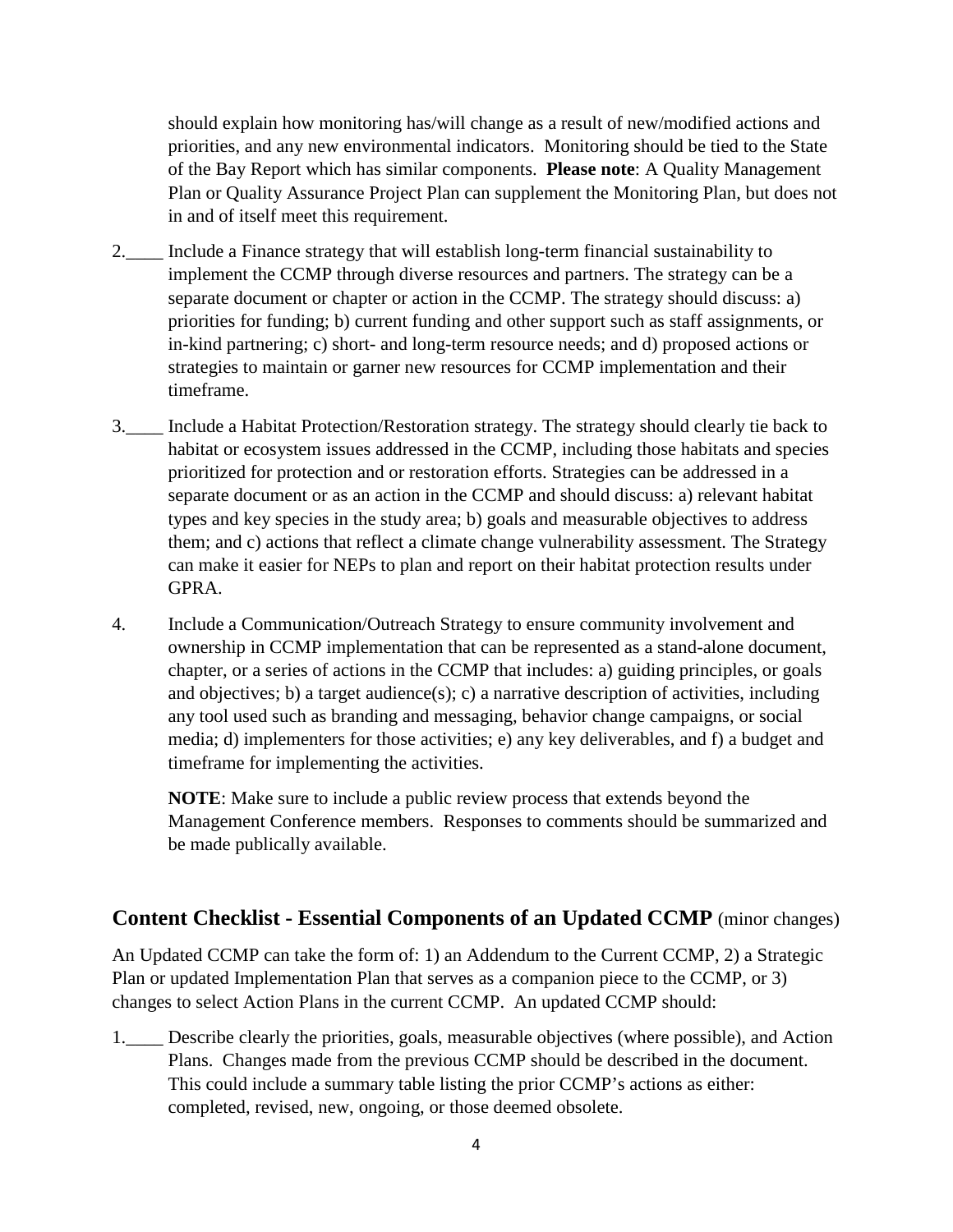should explain how monitoring has/will change as a result of new/modified actions and priorities, and any new environmental indicators. Monitoring should be tied to the State of the Bay Report which has similar components. **Please note**: A Quality Management Plan or Quality Assurance Project Plan can supplement the Monitoring Plan, but does not in and of itself meet this requirement.

- 2.\_\_\_\_ Include a Finance strategy that will establish long-term financial sustainability to implement the CCMP through diverse resources and partners. The strategy can be a separate document or chapter or action in the CCMP. The strategy should discuss: a) priorities for funding; b) current funding and other support such as staff assignments, or in-kind partnering; c) short- and long-term resource needs; and d) proposed actions or strategies to maintain or garner new resources for CCMP implementation and their timeframe.
- 3.\_\_\_\_ Include a Habitat Protection/Restoration strategy. The strategy should clearly tie back to habitat or ecosystem issues addressed in the CCMP, including those habitats and species prioritized for protection and or restoration efforts. Strategies can be addressed in a separate document or as an action in the CCMP and should discuss: a) relevant habitat types and key species in the study area; b) goals and measurable objectives to address them; and c) actions that reflect a climate change vulnerability assessment. The Strategy can make it easier for NEPs to plan and report on their habitat protection results under GPRA.
- 4. Include a Communication/Outreach Strategy to ensure community involvement and ownership in CCMP implementation that can be represented as a stand-alone document, chapter, or a series of actions in the CCMP that includes: a) guiding principles, or goals and objectives; b) a target audience(s); c) a narrative description of activities, including any tool used such as branding and messaging, behavior change campaigns, or social media; d) implementers for those activities; e) any key deliverables, and f) a budget and timeframe for implementing the activities.

**NOTE**: Make sure to include a public review process that extends beyond the Management Conference members. Responses to comments should be summarized and be made publically available.

#### **Content Checklist - Essential Components of an Updated CCMP** (minor changes)

An Updated CCMP can take the form of: 1) an Addendum to the Current CCMP, 2) a Strategic Plan or updated Implementation Plan that serves as a companion piece to the CCMP, or 3) changes to select Action Plans in the current CCMP. An updated CCMP should:

1.\_\_\_\_ Describe clearly the priorities, goals, measurable objectives (where possible), and Action Plans. Changes made from the previous CCMP should be described in the document. This could include a summary table listing the prior CCMP's actions as either: completed, revised, new, ongoing, or those deemed obsolete.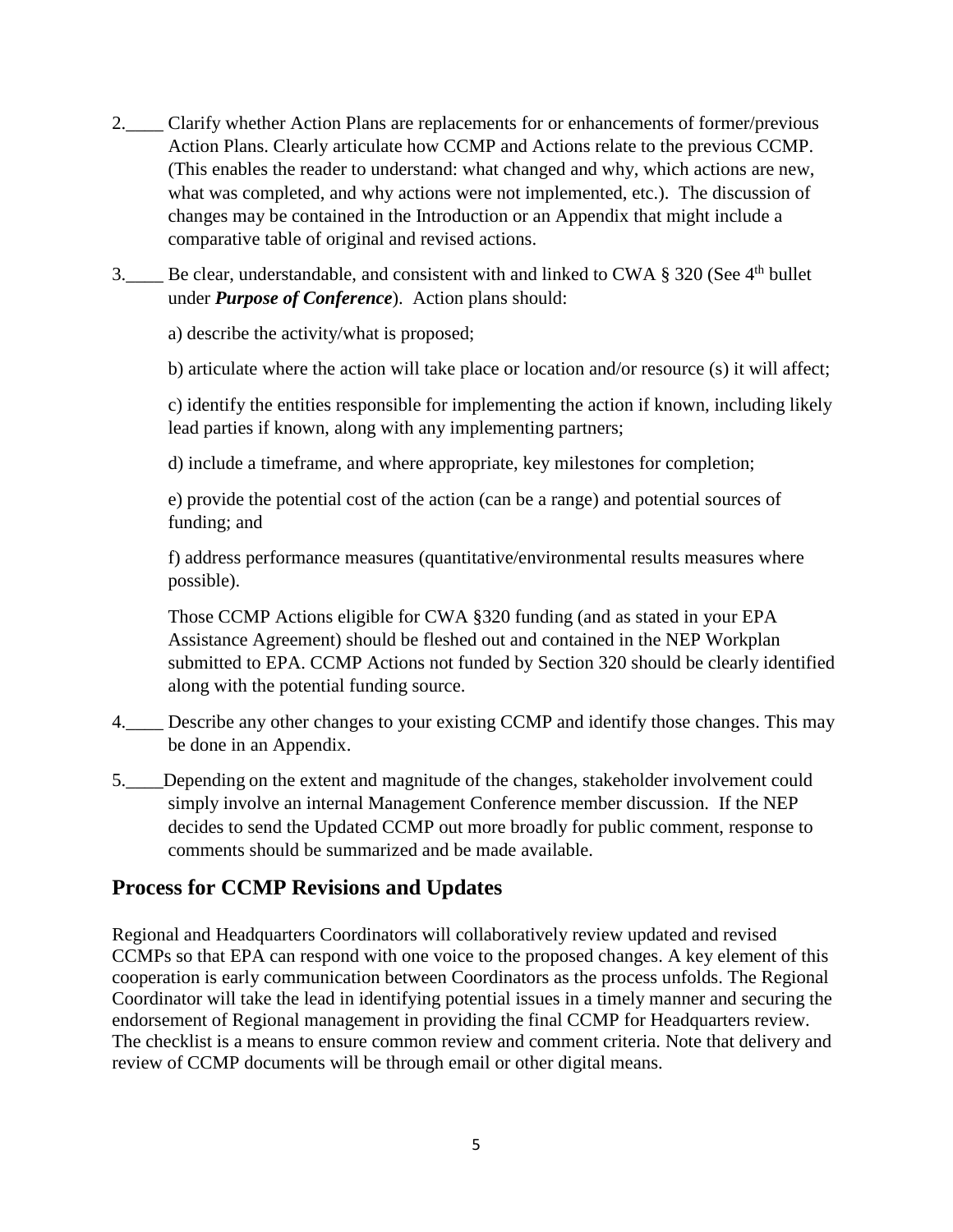- 2.\_\_\_\_ Clarify whether Action Plans are replacements for or enhancements of former/previous Action Plans. Clearly articulate how CCMP and Actions relate to the previous CCMP. (This enables the reader to understand: what changed and why, which actions are new, what was completed, and why actions were not implemented, etc.). The discussion of changes may be contained in the Introduction or an Appendix that might include a comparative table of original and revised actions.
- 3. Be clear, understandable, and consistent with and linked to CWA § 320 (See 4<sup>th</sup> bullet under *Purpose of Conference*). Action plans should:

a) describe the activity/what is proposed;

b) articulate where the action will take place or location and/or resource (s) it will affect;

c) identify the entities responsible for implementing the action if known, including likely lead parties if known, along with any implementing partners;

d) include a timeframe, and where appropriate, key milestones for completion;

e) provide the potential cost of the action (can be a range) and potential sources of funding; and

f) address performance measures (quantitative/environmental results measures where possible).

Those CCMP Actions eligible for CWA §320 funding (and as stated in your EPA Assistance Agreement) should be fleshed out and contained in the NEP Workplan submitted to EPA. CCMP Actions not funded by Section 320 should be clearly identified along with the potential funding source.

- 4.\_\_\_\_ Describe any other changes to your existing CCMP and identify those changes. This may be done in an Appendix.
- 5.\_\_\_\_Depending on the extent and magnitude of the changes, stakeholder involvement could simply involve an internal Management Conference member discussion. If the NEP decides to send the Updated CCMP out more broadly for public comment, response to comments should be summarized and be made available.

## **Process for CCMP Revisions and Updates**

Regional and Headquarters Coordinators will collaboratively review updated and revised CCMPs so that EPA can respond with one voice to the proposed changes. A key element of this cooperation is early communication between Coordinators as the process unfolds. The Regional Coordinator will take the lead in identifying potential issues in a timely manner and securing the endorsement of Regional management in providing the final CCMP for Headquarters review. The checklist is a means to ensure common review and comment criteria. Note that delivery and review of CCMP documents will be through email or other digital means.